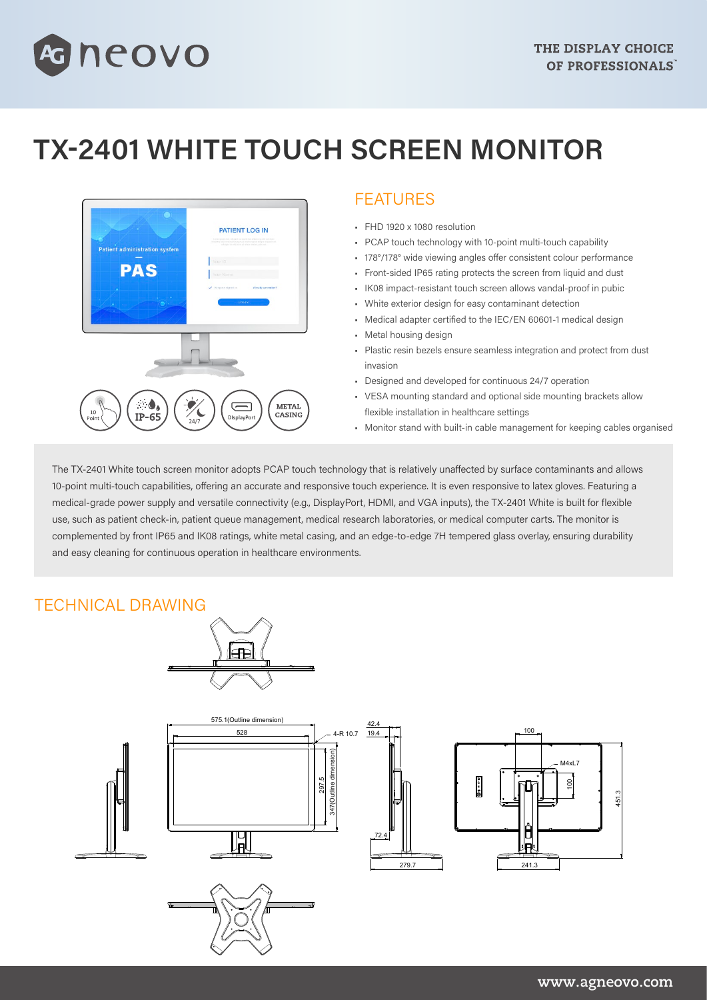

# **TX-2401 WHITE TOUCH SCREEN MONITOR**



#### FEATURES

- FHD 1920 x 1080 resolution
- PCAP touch technology with 10-point multi-touch capability
- 178°/178° wide viewing angles offer consistent colour performance
- Front-sided IP65 rating protects the screen from liquid and dust
- IK08 impact-resistant touch screen allows vandal-proof in pubic
- White exterior design for easy contaminant detection
- Medical adapter certified to the IEC/EN 60601-1 medical design
- Metal housing design
- Plastic resin bezels ensure seamless integration and protect from dust invasion
- Designed and developed for continuous 24/7 operation
- VESA mounting standard and optional side mounting brackets allow flexible installation in healthcare settings
- Monitor stand with built-in cable management for keeping cables organised

The TX-2401 White touch screen monitor adopts PCAP touch technology that is relatively unaffected by surface contaminants and allows 10-point multi-touch capabilities, offering an accurate and responsive touch experience. It is even responsive to latex gloves. Featuring a medical-grade power supply and versatile connectivity (e.g., DisplayPort, HDMI, and VGA inputs), the TX-2401 White is built for flexible use, such as patient check-in, patient queue management, medical research laboratories, or medical computer carts. The monitor is complemented by front IP65 and IK08 ratings, white metal casing, and an edge-to-edge 7H tempered glass overlay, ensuring durability and easy cleaning for continuous operation in healthcare environments.

## TECHNICAL DRAWING